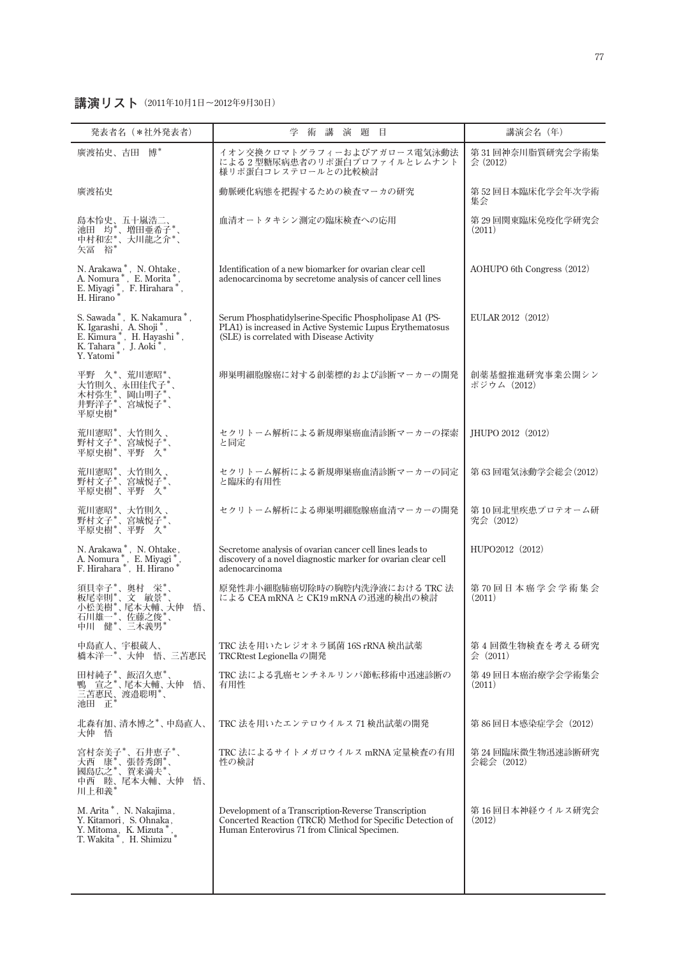## **講演リスト(2011年10月1日〜2012年9月30日)**

| 発表者名(*社外発表者)                                                                                                                  | 学 術 講<br>演 題 目                                                                                                                                                     | 講演会名 (年)                        |
|-------------------------------------------------------------------------------------------------------------------------------|--------------------------------------------------------------------------------------------------------------------------------------------------------------------|---------------------------------|
| 廣渡祐史、吉田<br>博*                                                                                                                 | イオン交換クロマトグラフィーおよびアガロース電気泳動法<br>による2型糖尿病患者のリポ蛋白プロファイルとレムナント<br>様リポ蛋白コレステロールとの比較検討                                                                                   | 第31回神奈川脂質研究会学術集<br>会 (2012)     |
| 廣渡祐史                                                                                                                          | 動脈硬化病態を把握するための検査マーカの研究                                                                                                                                             | 第52回日本臨床化学会年次学術<br>集会           |
| 島本怜史、五十嵐浩二、<br>池田 均*、増田亜希子*、<br>中村和宏*、大川龍之介*、<br>矢冨 裕*                                                                        | 血清オートタキシン測定の臨床検査への応用                                                                                                                                               | 第 29 回関東臨床免疫化学研究会<br>(2011)     |
| N. Arakawa*, N. Ohtake,<br>A. Nomura *, E. Morita *, E. Miyagi *, F. Hirahara *, H. Hirano *                                  | Identification of a new biomarker for ovarian clear cell<br>adenocarcinoma by secretome analysis of cancer cell lines                                              | AOHUPO 6th Congress (2012)      |
| S. Sawada*, K. Nakamura*,<br>K. Igarashi, A. Shoji *,<br>E. Kimura *, H. Hayashi *,<br>K. Tahara *, J. Aoki *,<br>Y. Yatomi * | Serum Phosphatidylserine-Specific Phospholipase A1 (PS-<br>PLA1) is increased in Active Systemic Lupus Erythematosus<br>(SLE) is correlated with Disease Activity  | EULAR 2012 (2012)               |
| 平野 久*、荒川憲昭*<br>- 大竹則久、永田佳代子*,<br>木村弥生*、岡山明子*、<br>村村弥生*、岡山明子*、<br>井野洋子*、宮城悦子*、<br>平原史樹*                                        | 卵巣明細胞腺癌に対する創薬標的および診断マーカーの開発                                                                                                                                        | 創薬基盤推進研究事業公開シン<br>ポジウム(2012)    |
| 荒川憲昭*、大竹則久、<br>野村文子*、宮城悦子*<br>平原史樹*、平野 久*                                                                                     | セクリトーム解析による新規卵巣癌血清診断マーカーの探索<br>と同定                                                                                                                                 | JHUPO 2012 (2012)               |
| 荒川憲昭*、大竹則久、<br>野村文子*、宫城悦子*、<br>平原史樹*、平野 久*                                                                                    | セクリトーム解析による新規卵巣癌血清診断マーカーの同定<br>と臨床的有用性                                                                                                                             | 第 63 回電気泳動学会総会(2012)            |
| 荒川憲昭*、大竹則久、<br>野村文子*、宮城悦子*、<br>平原史樹*、平野 久*                                                                                    | セクリトーム解析による卵巣明細胞腺癌血清マーカーの開発                                                                                                                                        | 第10回北里疾患プロテオーム研<br>究会 (2012)    |
| N. Arakawa *, N. Ohtake,<br>A. Nomura *, E. Miyagi *, F. Hirahara *, H. Hirano *                                              | Secretome analysis of ovarian cancer cell lines leads to<br>discovery of a novel diagnostic marker for ovarian clear cell<br>adenocarcinoma                        | HUPO2012 (2012)                 |
| 須貝幸子*、奥村 栄*、<br>板尾幸則*、文 敏景*<br>小松美樹*、尾本大輔、大仲<br>石川雄一*、佐藤之俊*<br>悟、<br>石川雄一*、佐藤之俊*<br>中川 健*、三木義男*                               | 原発性非小細胞肺癌切除時の胸腔内洗浄液における TRC 法<br>による CEA mRNA と CK19 mRNA の迅速的検出の検討                                                                                                | 第70回日本癌学会学術集会<br>(2011)         |
| 中島直人、宇根蔵人、<br>橋本洋一*、大仲 悟、三苫惠民                                                                                                 | TRC 法を用いたレジオネラ属菌 16S rRNA 検出試薬<br>TRCRtest Legionella の開発                                                                                                          | 第4回微生物検査を考える研究<br>会 (2011)      |
| 田村純子*、飯沼久恵*<br>宣之*、尾本大輔、大仲<br>悟、<br>三苫惠民、渡邉聡明*、<br>池田 正*                                                                      | TRC 法による乳癌センチネルリンパ節転移術中迅速診断の<br>有用性                                                                                                                                | 第 49 回日本癌治療学会学術集会<br>(2011)     |
| 北森有加、清水博之*、中島直人、<br>大仲 悟                                                                                                      | TRC 法を用いたエンテロウイルス 71 検出試薬の開発                                                                                                                                       | 第 86 回日本感染症学会(2012)             |
| 宮村奈美子*、石井恵子*、<br>大西 康*、張替秀朗*、<br>國島広之*、賀来満夫*、<br>中西 睦、尾本大輔、大仲<br>悟、<br>川上和義*                                                  | TRC 法によるサイトメガロウイルス mRNA 定量検査の有用<br>性の検討                                                                                                                            | 第 24 回臨床微生物迅速診断研究<br>会総会 (2012) |
| M. Arita*, N. Nakajima,<br>Y. Kitamori, S. Ohnaka,<br>Y. Mitoma, K. Mizuta*<br>T. Wakita *, H. Shimizu *                      | Development of a Transcription-Reverse Transcription<br>Concerted Reaction (TRCR) Method for Specific Detection of<br>Human Enterovirus 71 from Clinical Specimen. | 第 16 回日本神経ウイルス研究会<br>(2012)     |
|                                                                                                                               |                                                                                                                                                                    |                                 |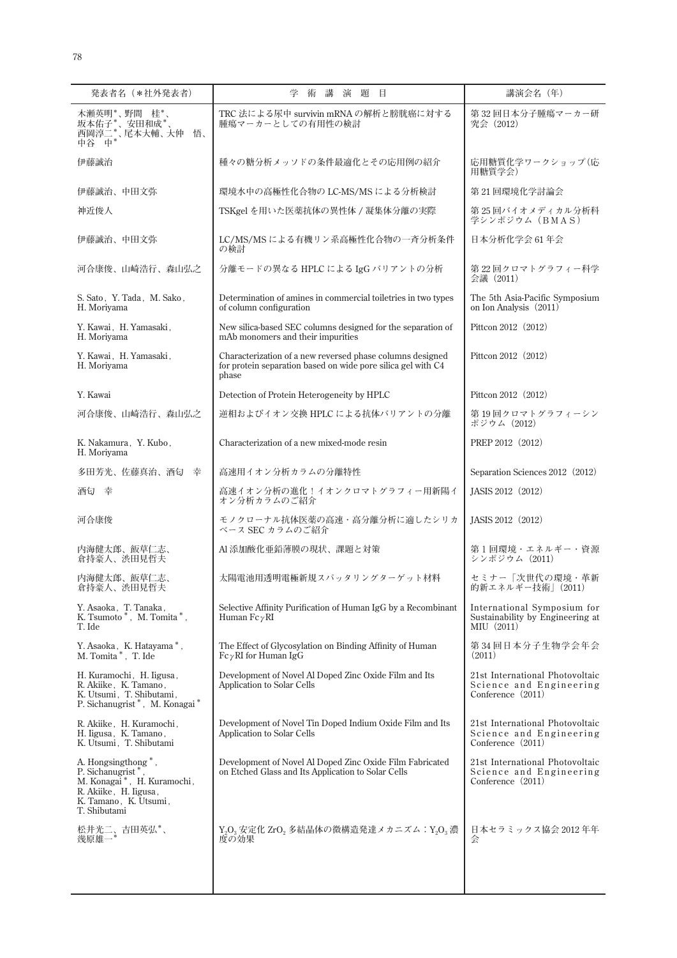| 発表者名 (*社外発表者)                                                                                                                                                   | 学<br>術<br>講<br>演題目                                                                                                                 | 講演会名 (年)                                                                          |
|-----------------------------------------------------------------------------------------------------------------------------------------------------------------|------------------------------------------------------------------------------------------------------------------------------------|-----------------------------------------------------------------------------------|
| 木瀬英明*、野間 桂*、<br>·坂本佑子*、安田和成*、<br>西岡淳二*、尾本大輔、大仲<br>中谷 中*<br>悟、                                                                                                   | TRC 法による尿中 survivin mRNA の解析と膀胱癌に対する<br>腫瘍マーカーとしての有用性の検討                                                                           | 第32回日本分子腫瘍マーカー研<br>究会 (2012)                                                      |
| 伊藤誠治                                                                                                                                                            | 種々の糖分析メッソドの条件最適化とその応用例の紹介                                                                                                          | 応用糖質化学ワークショップ(応<br>用糖質学会)                                                         |
| 伊藤誠治、中田文弥                                                                                                                                                       | 環境水中の高極性化合物の LC-MS/MS による分析検討                                                                                                      | 第21回環境化学討論会                                                                       |
| 神近俊人                                                                                                                                                            | TSKgel を用いた医薬抗体の異性体 / 凝集体分離の実際                                                                                                     | 第25回バイオメディカル分析科<br>学シンポジウム (BMAS)                                                 |
| 伊藤誠治、中田文弥                                                                                                                                                       | LC/MS/MS による有機リン系高極性化合物の一斉分析条件<br>の検討                                                                                              | 日本分析化学会 61年会                                                                      |
| 河合康俊、山崎浩行、森山弘之                                                                                                                                                  | 分離モードの異なる HPLC による IgG バリアントの分析                                                                                                    | 第22回クロマトグラフィー科学<br>会議 (2011)                                                      |
| S. Sato, Y. Tada, M. Sako,<br>H. Moriyama                                                                                                                       | Determination of amines in commercial toiletries in two types<br>of column configuration                                           | The 5th Asia-Pacific Symposium<br>on Ion Analysis (2011)                          |
| Y. Kawai, H. Yamasaki,<br>H. Moriyama                                                                                                                           | New silica-based SEC columns designed for the separation of<br>mAb monomers and their impurities                                   | Pittcon 2012 (2012)                                                               |
| Y. Kawai, H. Yamasaki,<br>H. Moriyama                                                                                                                           | Characterization of a new reversed phase columns designed<br>for protein separation based on wide pore silica gel with C4<br>phase | Pittcon 2012 (2012)                                                               |
| Y. Kawai                                                                                                                                                        | Detection of Protein Heterogeneity by HPLC                                                                                         | Pittcon 2012 (2012)                                                               |
| 河合康俊、山崎浩行、森山弘之                                                                                                                                                  | 逆相およびイオン交換 HPLC による抗体バリアントの分離                                                                                                      | 第19回クロマトグラフィーシン<br>ポジウム (2012)                                                    |
| K. Nakamura, Y. Kubo,<br>H. Moriyama                                                                                                                            | Characterization of a new mixed-mode resin                                                                                         | PREP 2012 (2012)                                                                  |
| 多田芳光、佐藤真治、酒匂 幸                                                                                                                                                  | 高速用イオン分析カラムの分離特性                                                                                                                   | Separation Sciences 2012 (2012)                                                   |
| 酒匂 幸                                                                                                                                                            | 高速イオン分析の進化!イオンクロマトグラフィー用新陽イ<br>オン分析カラムのご紹介                                                                                         | JASIS 2012 (2012)                                                                 |
| 河合康俊                                                                                                                                                            | モノクローナル抗体医薬の高速・高分離分析に適したシリカ<br>ベース SEC カラムのご紹介                                                                                     | JASIS 2012 (2012)                                                                 |
| 内海健太郎、飯草仁志、<br>倉持豪人、渋田見哲夫                                                                                                                                       | Al 添加酸化亜鉛薄膜の現状、課題と対策                                                                                                               | 第1回環境・エネルギー・資源<br>シンポジウム (2011)                                                   |
| 内海健太郎、飯草仁志、<br>倉持豪人、渋田見哲夫                                                                                                                                       | 太陽電池用透明電極新規スパッタリングターゲット材料                                                                                                          | セミナー「次世代の環境・革新<br>的新エネルギー技術   (2011)                                              |
| Y. Asaoka, T. Tanaka,<br>K. Tsumoto <sup>*</sup> , M. Tomita <sup>*</sup> ,<br>T. Ide                                                                           | Selective Affinity Purification of Human IgG by a Recombinant<br>Human $Fc \gamma RI$                                              | International Symposium for<br>Sustainability by Engineering at<br>MIU(2011)      |
| Y. Asaoka, K. Hatayama*,<br>M. Tomita*, T. Ide                                                                                                                  | The Effect of Glycosylation on Binding Affinity of Human<br>$Fc\gamma RI$ for Human IgG                                            | 第 34 回日本分子生物学会年会<br>(2011)                                                        |
| H. Kuramochi, H. Iigusa,<br>R. Akiike, K. Tamano,<br>K. Utsumi, T. Shibutami,<br>P. Sichanugrist*, M. Konagai*                                                  | Development of Novel Al Doped Zinc Oxide Film and Its<br>Application to Solar Cells                                                | 21st International Photovoltaic<br>Science and Engineering<br>Conference (2011)   |
| R. Akiike, H. Kuramochi,<br>H. ligusa, K. Tamano,<br>K. Utsumi, T. Shibutami                                                                                    | Development of Novel Tin Doped Indium Oxide Film and Its<br><b>Application to Solar Cells</b>                                      | 21st International Photovoltaic<br>Science and Engineering<br>Conference (2011)   |
| A. Hongsingthong <sup>*</sup> ,<br>P. Sichanugrist <sup>*</sup><br>M. Konagai*, H. Kuramochi,<br>R. Akiike, H. Iigusa,<br>K. Tamano, K. Utsumi,<br>T. Shibutami | Development of Novel Al Doped Zinc Oxide Film Fabricated<br>on Etched Glass and Its Application to Solar Cells                     | 21st International Photovoltaic<br>Science and Engineering<br>Conference $(2011)$ |
| 松井光二、吉田英弘*、<br>幾原雄一                                                                                                                                             | $Y_2O_3$ 安定化 ZrO <sub>2</sub> 多結晶体の微構造発達メカニズム: $Y_2O_3$ 濃<br>度の効果                                                                  | 日本セラミックス協会 2012 年年<br>슻                                                           |
|                                                                                                                                                                 |                                                                                                                                    |                                                                                   |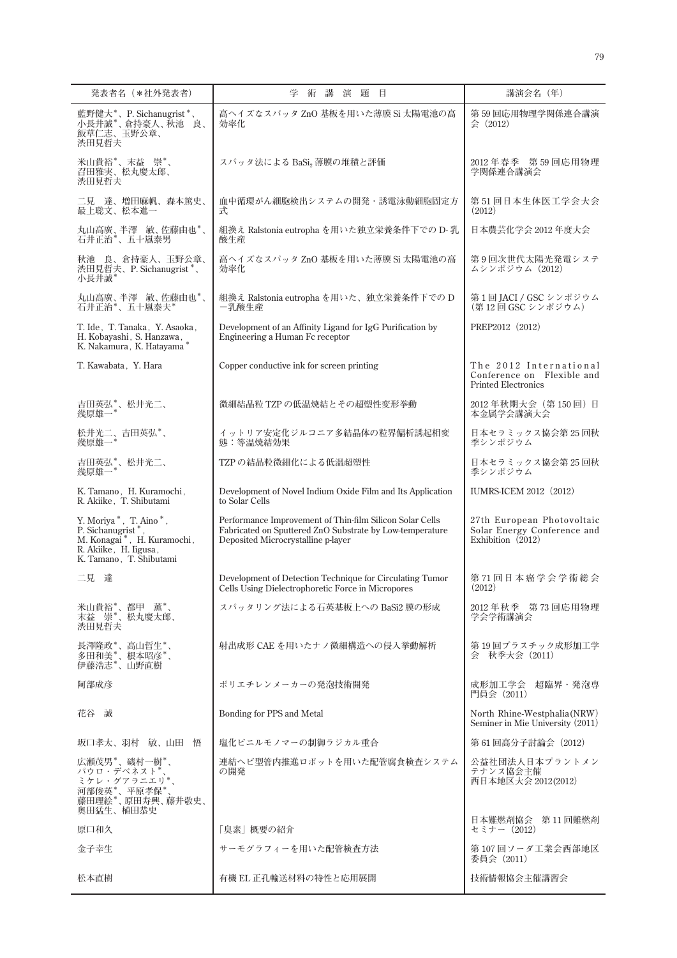| 発表者名 (*社外発表者)                                                                                                                                                      | 講<br>演題<br>学<br>術<br>目                                                                                                                                     | 講演会名 (年)                                                                           |
|--------------------------------------------------------------------------------------------------------------------------------------------------------------------|------------------------------------------------------------------------------------------------------------------------------------------------------------|------------------------------------------------------------------------------------|
| 藍野健大*、P. Sichanugrist *、<br>小長井誠*、倉持豪人、秋池<br>良、<br>飯草仁志、玉野公章、<br>渋田見哲夫                                                                                             | 高ヘイズなスパッタ ZnO 基板を用いた薄膜 Si 太陽電池の高<br>効率化                                                                                                                    | 第 59 回応用物理学関係連合講演<br>会(2012)                                                       |
| 米山貴裕*、末益 崇*、<br>召田雅実、松丸慶太郎、<br>渋田見哲夫                                                                                                                               | スパッタ法による BaSi2 薄膜の堆積と評価                                                                                                                                    | 2012 年春季 第 59 回応用物理<br>学関係連合講演会                                                    |
| 二見 達、増田麻帆、森本篤史、<br>最上聡文、松本進一                                                                                                                                       | 血中循環がん細胞検出システムの開発・誘電泳動細胞固定方<br>士                                                                                                                           | 第51回日本生体医工学会大会<br>(2012)                                                           |
| 丸山高廣、半澤 敏、佐藤由也*、<br>石井正治*、五十嵐泰男                                                                                                                                    | 組換え Ralstonia eutropha を用いた独立栄養条件下での D- 乳<br>酸生産                                                                                                           | 日本農芸化学会 2012年度大会                                                                   |
| 秋池 良、倉持豪人、玉野公章、<br>渋田見哲夫、P. Sichanugrist*、<br>小長井誠*                                                                                                                | 高ヘイズなスパッタ ZnO 基板を用いた薄膜 Si 太陽電池の高<br>効率化                                                                                                                    | 第9回次世代太陽光発電システ<br>ムシンポジウム(2012)                                                    |
| 丸山高廣、半澤 敏、佐藤由也*、<br>石井正治*、五十嵐泰夫*                                                                                                                                   | 組換え Ralstonia eutropha を用いた、独立栄養条件下での D<br>-乳酸生産                                                                                                           | 第1回JACI / GSC シンポジウム<br>(第12回 GSC シンポジウム)                                          |
| T. Ide, T. Tanaka, Y. Asaoka,<br>H. Kobayashi, S. Hanzawa,<br>K. Nakamura, K. Hatayama*                                                                            | Development of an Affinity Ligand for IgG Purification by<br>Engineering a Human Fc receptor                                                               | PREP2012 (2012)                                                                    |
| T. Kawabata, Y. Hara                                                                                                                                               | Copper conductive ink for screen printing                                                                                                                  | The 2012 International<br>Conference on Flexible and<br><b>Printed Electronics</b> |
| 吉田英弘*、松井光二、<br>幾原雄一*                                                                                                                                               | 微細結晶粒 TZP の低温焼結とその超塑性変形挙動                                                                                                                                  | 2012年秋期大会 (第150回) 日<br>本金属学会講演大会                                                   |
| 松井光二、吉田英弘*、<br>幾原雄一*                                                                                                                                               | イットリア安定化ジルコニア多結晶体の粒界偏析誘起相変<br>態:等温焼結効果                                                                                                                     | 日本セラミックス協会第25回秋<br>季シンポジウム                                                         |
| 吉田英弘*、松井光二、<br>幾原雄一*                                                                                                                                               | TZPの結晶粒微細化による低温超塑性                                                                                                                                         | 日本セラミックス協会第25回秋<br>季シンポジウム                                                         |
| K. Tamano, H. Kuramochi,<br>R. Akiike, T. Shibutami                                                                                                                | Development of Novel Indium Oxide Film and Its Application<br>to Solar Cells                                                                               | IUMRS-ICEM 2012 (2012)                                                             |
| Y. Moriya <sup>*</sup> , T. Aino <sup>*</sup> ,<br>P. Sichanugrist*<br>M. Konagai <sup>*</sup> , H. Kuramochi,<br>R. Akiike, H. Iigusa,<br>K. Tamano, T. Shibutami | Performance Improvement of Thin-film Silicon Solar Cells<br>Fabricated on Sputtered ZnO Substrate by Low-temperature<br>Deposited Microcrystalline p-layer | 27th European Photovoltaic<br>Solar Energy Conference and<br>Exhibition $(2012)$   |
| 二見 達                                                                                                                                                               | Development of Detection Technique for Circulating Tumor<br>Cells Using Dielectrophoretic Force in Micropores                                              | 第71回日本癌学会学術総会<br>(2012)                                                            |
| 米山貴裕*、都甲 薫*、<br>末益 崇*、松丸慶太郎、<br>渋田見哲夫                                                                                                                              | スパッタリング法による石英基板上への BaSi2 膜の形成                                                                                                                              | 2012年秋季 第73回応用物理<br>学会学術講演会                                                        |
| 長澤隆政*、高山哲生*、<br>多田和美*、根本昭彦*、<br>伊藤浩志*、山野直樹                                                                                                                         | 射出成形 CAE を用いたナノ微細構造への侵入挙動解析                                                                                                                                | 第19回プラスチック成形加工学<br>会 秋季大会 (2011)                                                   |
| 阿部成彦                                                                                                                                                               | ポリエチレンメーカーの発泡技術開発                                                                                                                                          | 成形加工学会 超臨界・発泡専<br>門員会 (2011)                                                       |
| 花谷 誠                                                                                                                                                               | Bonding for PPS and Metal                                                                                                                                  | North Rhine-Westphalia(NRW)<br>Seminer in Mie University (2011)                    |
| 坂口孝太、羽村 敏、山田 悟                                                                                                                                                     | 塩化ビニルモノマーの制御ラジカル重合                                                                                                                                         | 第 61 回高分子討論会 (2012)                                                                |
| 広瀬茂男*、磯村一樹*、<br>パウロ・デベネスト*<br>ミケレ・グアラニエリ*<br>河部俊英*、平原孝保*、<br>藤田理絵*、原田寿興、藤井敬史、<br>奥田猛生、植田恭史                                                                         | 連結へビ型管内推進ロボットを用いた配管腐食検査システム<br>の開発                                                                                                                         | 公益社団法人日本プラントメン<br>テナンス協会主催<br>西日本地区大会 2012(2012)<br>日本難燃剤協会 第11回難燃剤                |
| 原口和久                                                                                                                                                               | 「臭素」概要の紹介                                                                                                                                                  | セミナー(2012)                                                                         |
| 金子幸生                                                                                                                                                               | サーモグラフィーを用いた配管検査方法                                                                                                                                         | 第 107 回ソーダ工業会西部地区<br>委員会 (2011)                                                    |
| 松本直樹                                                                                                                                                               | 有機 EL 正孔輸送材料の特性と応用展開                                                                                                                                       | 技術情報協会主催講習会                                                                        |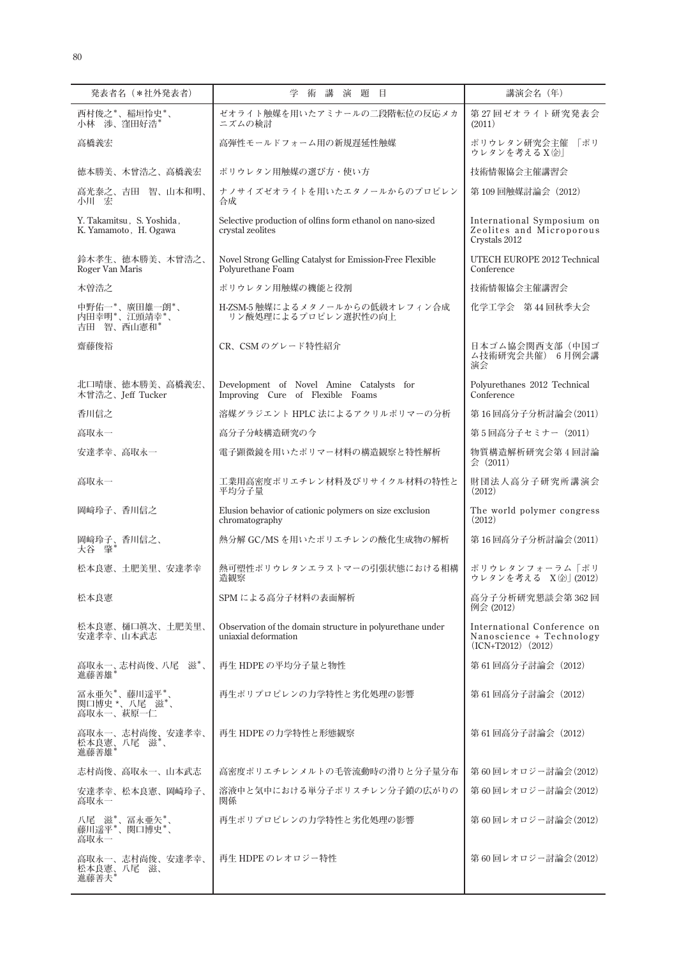| 発表者名 (*社外発表者)                                      | 術講演題目<br>学                                                                        | 講演会名 (年)                                                                          |
|----------------------------------------------------|-----------------------------------------------------------------------------------|-----------------------------------------------------------------------------------|
| 西村俊之*、稲垣怜史*、<br>小林 渉、窪田好浩*                         | ゼオライト触媒を用いたアミナールの二段階転位の反応メカ<br>ニズムの検討                                             | 第27回ゼオライト研究発表会<br>(2011)                                                          |
| 高橋義宏                                               | 高弾性モールドフォーム用の新規遅延性触媒                                                              | ポリウレタン研究会主催 「ポリ<br>ウレタンを考える X 金                                                   |
| 徳本勝美、木曾浩之、高橋義宏                                     | ポリウレタン用触媒の選び方・使い方                                                                 | 技術情報協会主催講習会                                                                       |
| 高光泰之、吉田 智、山本和明、<br>小川 宏                            | ナノサイズゼオライトを用いたエタノールからのプロピレン<br>合成                                                 | 第109回触媒討論会 (2012)                                                                 |
| Y. Takamitsu, S. Yoshida,<br>K. Yamamoto, H. Ogawa | Selective production of olfins form ethanol on nano-sized<br>crystal zeolites     | International Symposium on<br>Zeolites and Microporous<br>Crystals 2012           |
| 鈴木孝生、徳本勝美、木曾浩之、<br>Roger Van Maris                 | Novel Strong Gelling Catalyst for Emission-Free Flexible<br>Polyurethane Foam     | UTECH EUROPE 2012 Technical<br>Conference                                         |
| 木曽浩之                                               | ポリウレタン用触媒の機能と役割                                                                   | 技術情報協会主催講習会                                                                       |
| 中野佑一*、廣田雄一朗*、<br>内田幸明*、江頭靖幸*、<br>吉田 智、西山憲和*        | H-ZSM-5 触媒によるメタノールからの低級オレフィン合成<br>リン酸処理によるプロピレン選択性の向上                             | 化学工学会 第44回秋季大会                                                                    |
| 齋藤俊裕                                               | CR、CSM のグレード特性紹介                                                                  | 日本ゴム協会関西支部(中国ゴ<br>ム技術研究会共催) 6月例会講<br>演会                                           |
| 北口晴康、徳本勝美、高橋義宏、<br>木曾浩之、Ieff Tucker                | Development of Novel Amine Catalysts for<br>Improving Cure of Flexible Foams      | Polyurethanes 2012 Technical<br>Conference                                        |
| 香川信之                                               | 溶媒グラジエント HPLC 法によるアクリルポリマーの分析                                                     | 第16回高分子分析討論会(2011)                                                                |
| 高取永一                                               | 高分子分岐構造研究の今                                                                       | 第5回高分子セミナー(2011)                                                                  |
| 安達孝幸、高取永一                                          | 電子顕微鏡を用いたポリマー材料の構造観察と特性解析                                                         | 物質構造解析研究会第4回討論<br>会 (2011)                                                        |
| 高取永一                                               | 工業用高密度ポリエチレン材料及びリサイクル材料の特性と<br>平均分子量                                              | 財団法人高分子研究所講演会<br>(2012)                                                           |
| 岡﨑玲子、香川信之                                          | Elusion behavior of cationic polymers on size exclusion<br>chromatography         | The world polymer congress<br>(2012)                                              |
| 岡﨑玲子、香川信之、<br>大谷 肇*                                | 熱分解 GC/MS を用いたポリエチレンの酸化生成物の解析                                                     | 第16回高分子分析討論会(2011)                                                                |
| 松本良憲、土肥美里、安達孝幸                                     | 熱可塑性ポリウレタンエラストマーの引張状態における相構<br>造観察                                                | ポリウレタンフォーラム「ポリ<br>ウレタンを考える X 金) (2012)                                            |
| 松本良憲                                               | SPM による高分子材料の表面解析                                                                 | 高分子分析研究懇談会第362回<br>例会 (2012)                                                      |
| 松本良憲、樋口眞次、土肥美里、<br>安達孝幸、山本武志                       | Observation of the domain structure in polyurethane under<br>uniaxial deformation | International Conference on<br>Nanoscience + Technology<br>$(ICN+T2012)$ $(2012)$ |
| 高取永一、志村尚俊、八尾 滋*、<br>進藤善雄*                          | 再生 HDPE の平均分子量と物性                                                                 | 第 61 回高分子討論会 (2012)                                                               |
| 冨永亜矢*、藤川遥平*、<br>関口博史 *、八尾 滋*、<br>高取永一、萩原一仁         | 再生ポリプロピレンの力学特性と劣化処理の影響                                                            | 第 61 回高分子討論会(2012)                                                                |
| 高取永一、志村尚俊、安達孝幸、<br>松本良憲、八尾 滋*、<br>進藤善雄*            | 再生 HDPE の力学特性と形態観察                                                                | 第 61 回高分子討論会(2012)                                                                |
| 志村尚俊、高取永一、山本武志                                     | 高密度ポリエチレンメルトの毛管流動時の滑りと分子量分布                                                       | 第60回レオロジー討論会(2012)                                                                |
| 安達孝幸、松本良憲、岡崎玲子、<br>高取永一                            | 溶液中と気中における単分子ポリスチレン分子鎖の広がりの<br>関係                                                 | 第60回レオロジー討論会(2012)                                                                |
| 八尾 滋*、冨永亜矢*、<br>藤川遥平*、関口博史*、<br>高取永一               | 再生ポリプロピレンの力学特性と劣化処理の影響                                                            | 第60回レオロジー討論会(2012)                                                                |
| 高取永一、志村尚俊、安達孝幸、<br>松本良憲、八尾滋、<br>進藤善夫*              | 再生 HDPE のレオロジー特性                                                                  | 第60回レオロジー討論会(2012)                                                                |
|                                                    |                                                                                   |                                                                                   |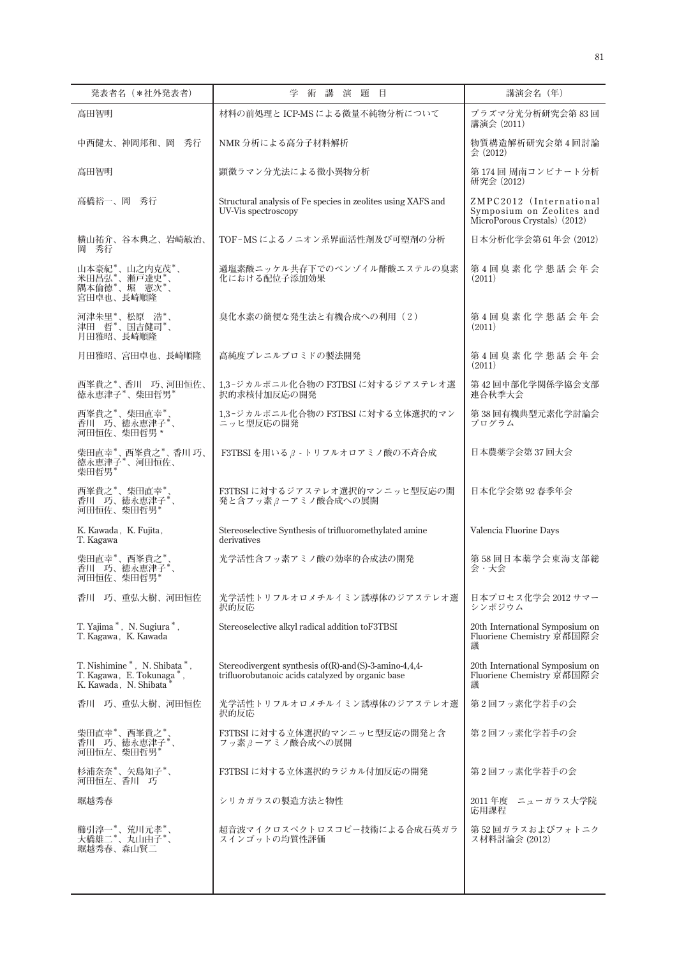| 発表者名 (*社外発表者)                                                                      | 術講演題目<br>学                                                                                                   | 講演会名 (年)                                                                             |
|------------------------------------------------------------------------------------|--------------------------------------------------------------------------------------------------------------|--------------------------------------------------------------------------------------|
| 高田智明                                                                               | 材料の前処理と ICP-MS による微量不純物分析について                                                                                | プラズマ分光分析研究会第83回<br>講演会 (2011)                                                        |
| 中西健太、神岡邦和、岡 秀行                                                                     | NMR 分析による高分子材料解析                                                                                             | 物質構造解析研究会第4回討論<br>$\Leftrightarrow$ (2012)                                           |
| 高田智明                                                                               | 顕微ラマン分光法による微小異物分析                                                                                            | 第174回 周南コンビナート分析<br>研究会 (2012)                                                       |
| 高橋裕一、岡 秀行                                                                          | Structural analysis of Fe species in zeolites using XAFS and<br>UV-Vis spectroscopy                          | ZMPC2012 (International<br>Symposium on Zeolites and<br>MicroPorous Crystals) (2012) |
| 横山祐介、谷本典之、岩崎敏治、<br>岡 秀行                                                            | TOF-MSによるノニオン系界面活性剤及び可塑剤の分析                                                                                  | 日本分析化学会第61年会 (2012)                                                                  |
| 山本豪紀*、山之内克茂*、<br>[米田昌弘*、瀬戸達史*、<br>米田昌弘*、瀬戸達史*、<br>隅本倫徳*、堀 憲次*、                     | 過塩素酸ニッケル共存下でのベンゾイル酢酸エステルの臭素<br>化における配位子添加効果                                                                  | 第4回臭素化学懇話会年会<br>(2011)                                                               |
| 河津朱里*、松原 浩*、<br><sup>[3]</sup> 田 哲*、国吉健司*、<br>月田雅昭、長崎順隆                            | 臭化水素の簡便な発生法と有機合成への利用 (2)                                                                                     | 第4回臭素化学懇話会年会<br>(2011)                                                               |
| 月田雅昭、宮田卓也、長崎順隆                                                                     | 高純度プレニルブロミドの製法開発                                                                                             | 第4回臭素化学懇話会年会<br>(2011)                                                               |
| 西峯貴之*、香川 巧、河田恒佐、<br>徳永恵津子*、柴田哲男*                                                   | 1.3-ジカルボニル化合物の F3TBSI に対するジアステレオ選<br>択的求核付加反応の開発                                                             | 第42回中部化学関係学協会支部<br>連合秋季大会                                                            |
| 西峯貴之*、柴田直幸*、<br>香川 巧、徳永恵津子*、<br>河田恒佐、柴田哲男*                                         | 1.3-ジカルボニル化合物の F3TBSI に対する立体選択的マン<br>ニッヒ型反応の開発                                                               | 第38回有機典型元素化学討論会<br>プログラム                                                             |
| 柴田直幸*、西峯貴之*、香川巧、<br>徳永恵津子*、河田恒佐、<br>柴田哲男*                                          | F3TBSI を用いるβ-トリフルオロアミノ酸の不斉合成                                                                                 | 日本農薬学会第37回大会                                                                         |
| 西峯貴之*、柴田直幸*、<br>香川 巧、徳永恵津子*<br>河田恒佐、柴田哲男*                                          | F3TBSI に対するジアステレオ選択的マンニッヒ型反応の開<br>発と含フッ素βーアミノ酸合成への展開                                                         | 日本化学会第92春季年会                                                                         |
| K. Kawada, K. Fujita,<br>T. Kagawa                                                 | Stereoselective Synthesis of trifluoromethylated amine<br>derivatives                                        | Valencia Fluorine Days                                                               |
| 柴田直幸*、西峯貴之*、<br>香川 巧、徳永恵津子*<br>河田恒佐、柴田哲男*                                          | 光学活性含フッ素アミノ酸の効率的合成法の開発                                                                                       | 第58回日本薬学会東海支部総<br>会・大会                                                               |
| 香川 巧、重弘大樹、河田恒佐                                                                     | │ 光学活性トリフルオロメチルイミン誘導体のジアステレオ選 ┃ 日本プロセス化学会 2012 サマー<br>択的反応                                                   | シンポジウム                                                                               |
| T. Yajima *, N. Sugiura *,<br>T. Kagawa, K. Kawada                                 | Stereoselective alkyl radical addition toF3TBSI                                                              | 20th International Symposium on<br>Fluoriene Chemistry 京都国際会<br>議                    |
| T. Nishimine *, N. Shibata *,<br>T. Kagawa, E. Tokunaga*,<br>K. Kawada, N. Shibata | Stereodivergent synthesis of (R)-and (S)-3-amino-4,4,4-<br>trifluorobutanoic acids catalyzed by organic base | 20th International Symposium on<br>Fluoriene Chemistry 京都国際会<br>議                    |
| 香川 巧、重弘大樹、河田恒佐                                                                     | 光学活性トリフルオロメチルイミン誘導体のジアステレオ選<br>択的反応                                                                          | 第2回フッ素化学若手の会                                                                         |
| 柴田直幸*、西峯貴之*<br>香川 巧、徳永恵津子*<br>河田恒左、柴田哲男*                                           | F3TBSI に対する立体選択的マンニッヒ型反応の開発と含<br>フッ素 β ーアミノ酸合成への展開                                                           | 第2回フッ素化学若手の会                                                                         |
| 杉浦奈奈*、矢島知子*、<br>河田恒左、香川 巧                                                          | F3TBSI に対する立体選択的ラジカル付加反応の開発                                                                                  | 第2回フッ素化学若手の会                                                                         |
| 堀越秀春                                                                               | シリカガラスの製造方法と物性                                                                                               | 2011年度 ニューガラス大学院<br>応用課程                                                             |
| 櫛引淳一*、荒川元孝*。<br>大橋雄二*、丸山由子*、<br>堀越秀春、森山賢二                                          | 超音波マイクロスペクトロスコピー技術による合成石英ガラ<br>スインゴットの均質性評価                                                                  | 第 52 回ガラスおよびフォトニク<br>ス材料討論会 (2012)                                                   |